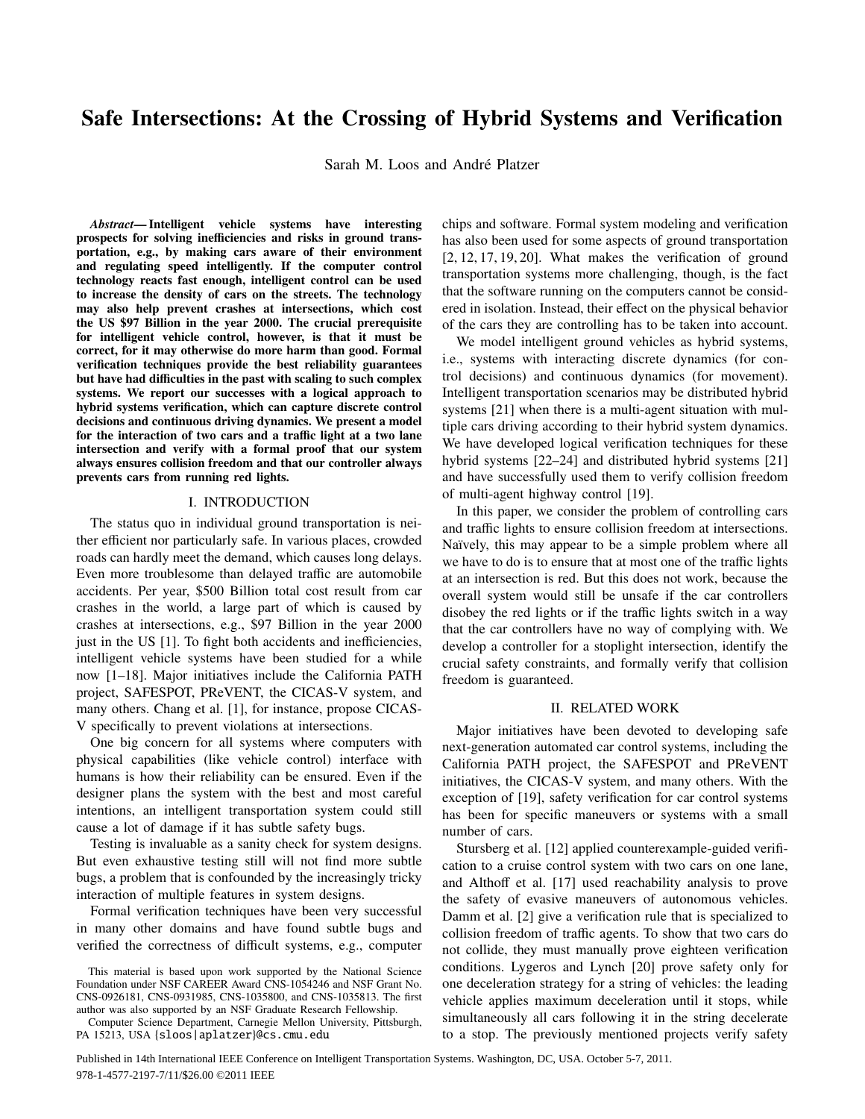# Safe Intersections: At the Crossing of Hybrid Systems and Verification

Sarah M. Loos and André Platzer

*Abstract*— Intelligent vehicle systems have interesting prospects for solving inefficiencies and risks in ground transportation, e.g., by making cars aware of their environment and regulating speed intelligently. If the computer control technology reacts fast enough, intelligent control can be used to increase the density of cars on the streets. The technology may also help prevent crashes at intersections, which cost the US \$97 Billion in the year 2000. The crucial prerequisite for intelligent vehicle control, however, is that it must be correct, for it may otherwise do more harm than good. Formal verification techniques provide the best reliability guarantees but have had difficulties in the past with scaling to such complex systems. We report our successes with a logical approach to hybrid systems verification, which can capture discrete control decisions and continuous driving dynamics. We present a model for the interaction of two cars and a traffic light at a two lane intersection and verify with a formal proof that our system always ensures collision freedom and that our controller always prevents cars from running red lights.

#### I. INTRODUCTION

The status quo in individual ground transportation is neither efficient nor particularly safe. In various places, crowded roads can hardly meet the demand, which causes long delays. Even more troublesome than delayed traffic are automobile accidents. Per year, \$500 Billion total cost result from car crashes in the world, a large part of which is caused by crashes at intersections, e.g., \$97 Billion in the year 2000 just in the US [1]. To fight both accidents and inefficiencies, intelligent vehicle systems have been studied for a while now [1–18]. Major initiatives include the California PATH project, SAFESPOT, PReVENT, the CICAS-V system, and many others. Chang et al. [1], for instance, propose CICAS-V specifically to prevent violations at intersections.

One big concern for all systems where computers with physical capabilities (like vehicle control) interface with humans is how their reliability can be ensured. Even if the designer plans the system with the best and most careful intentions, an intelligent transportation system could still cause a lot of damage if it has subtle safety bugs.

Testing is invaluable as a sanity check for system designs. But even exhaustive testing still will not find more subtle bugs, a problem that is confounded by the increasingly tricky interaction of multiple features in system designs.

Formal verification techniques have been very successful in many other domains and have found subtle bugs and verified the correctness of difficult systems, e.g., computer

This material is based upon work supported by the National Science Foundation under NSF CAREER Award CNS-1054246 and NSF Grant No. CNS-0926181, CNS-0931985, CNS-1035800, and CNS-1035813. The first author was also supported by an NSF Graduate Research Fellowship.

Computer Science Department, Carnegie Mellon University, Pittsburgh, PA 15213, USA {sloos|aplatzer}@cs.cmu.edu

chips and software. Formal system modeling and verification has also been used for some aspects of ground transportation  $[2, 12, 17, 19, 20]$ . What makes the verification of ground transportation systems more challenging, though, is the fact that the software running on the computers cannot be considered in isolation. Instead, their effect on the physical behavior of the cars they are controlling has to be taken into account.

We model intelligent ground vehicles as hybrid systems, i.e., systems with interacting discrete dynamics (for control decisions) and continuous dynamics (for movement). Intelligent transportation scenarios may be distributed hybrid systems [21] when there is a multi-agent situation with multiple cars driving according to their hybrid system dynamics. We have developed logical verification techniques for these hybrid systems [22–24] and distributed hybrid systems [21] and have successfully used them to verify collision freedom of multi-agent highway control [19].

In this paper, we consider the problem of controlling cars and traffic lights to ensure collision freedom at intersections. Naïvely, this may appear to be a simple problem where all we have to do is to ensure that at most one of the traffic lights at an intersection is red. But this does not work, because the overall system would still be unsafe if the car controllers disobey the red lights or if the traffic lights switch in a way that the car controllers have no way of complying with. We develop a controller for a stoplight intersection, identify the crucial safety constraints, and formally verify that collision freedom is guaranteed.

### II. RELATED WORK

Major initiatives have been devoted to developing safe next-generation automated car control systems, including the California PATH project, the SAFESPOT and PReVENT initiatives, the CICAS-V system, and many others. With the exception of [19], safety verification for car control systems has been for specific maneuvers or systems with a small number of cars.

Stursberg et al. [12] applied counterexample-guided verification to a cruise control system with two cars on one lane, and Althoff et al. [17] used reachability analysis to prove the safety of evasive maneuvers of autonomous vehicles. Damm et al. [2] give a verification rule that is specialized to collision freedom of traffic agents. To show that two cars do not collide, they must manually prove eighteen verification conditions. Lygeros and Lynch [20] prove safety only for one deceleration strategy for a string of vehicles: the leading vehicle applies maximum deceleration until it stops, while simultaneously all cars following it in the string decelerate to a stop. The previously mentioned projects verify safety

Published in 14th International IEEE Conference on Intelligent Transportation Systems. Washington, DC, USA. October 5-7, 2011. 978-1-4577-2197-7/11/\$26.00 ©2011 IEEE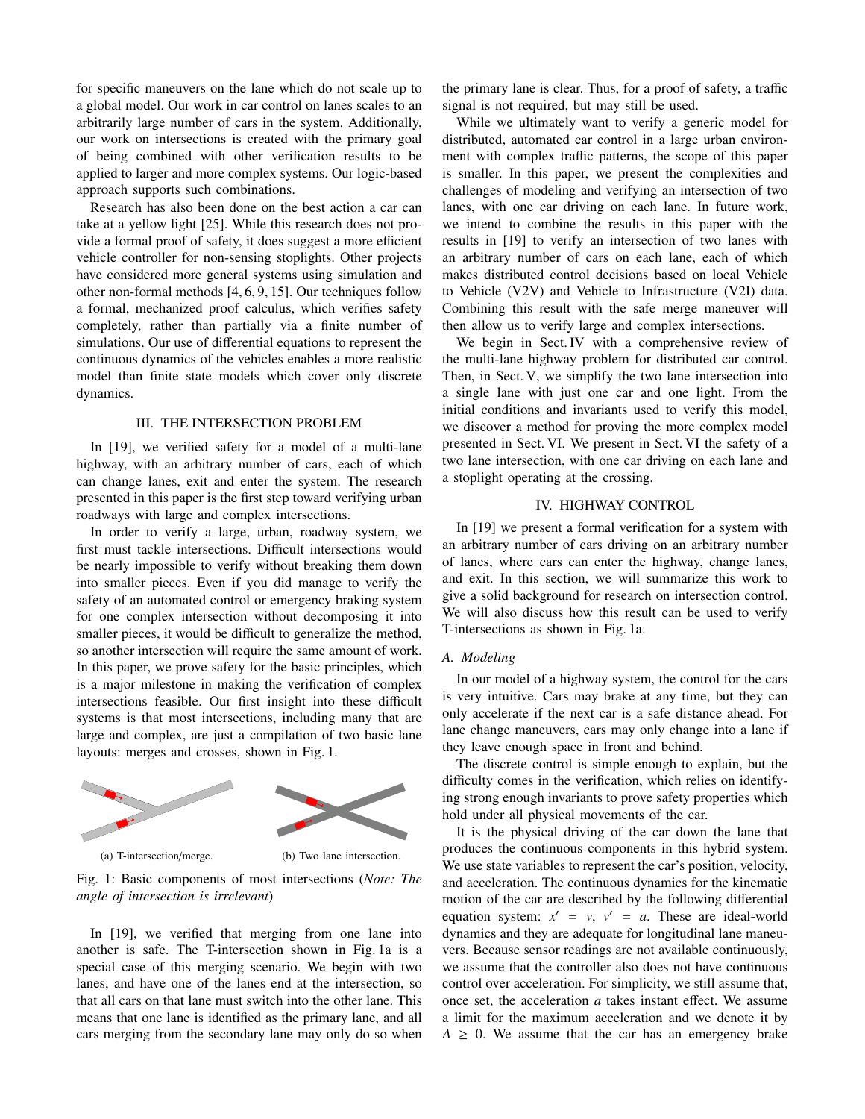for specific maneuvers on the lane which do not scale up to a global model. Our work in car control on lanes scales to an arbitrarily large number of cars in the system. Additionally, our work on intersections is created with the primary goal of being combined with other verification results to be applied to larger and more complex systems. Our logic-based approach supports such combinations.

Research has also been done on the best action a car can take at a yellow light [25]. While this research does not provide a formal proof of safety, it does suggest a more efficient vehicle controller for non-sensing stoplights. Other projects have considered more general systems using simulation and other non-formal methods [4, 6, 9, 15]. Our techniques follow a formal, mechanized proof calculus, which verifies safety completely, rather than partially via a finite number of simulations. Our use of differential equations to represent the continuous dynamics of the vehicles enables a more realistic model than finite state models which cover only discrete dynamics.

# III. THE INTERSECTION PROBLEM

In [19], we verified safety for a model of a multi-lane highway, with an arbitrary number of cars, each of which can change lanes, exit and enter the system. The research presented in this paper is the first step toward verifying urban roadways with large and complex intersections.

In order to verify a large, urban, roadway system, we first must tackle intersections. Difficult intersections would be nearly impossible to verify without breaking them down into smaller pieces. Even if you did manage to verify the safety of an automated control or emergency braking system for one complex intersection without decomposing it into smaller pieces, it would be difficult to generalize the method, so another intersection will require the same amount of work. In this paper, we prove safety for the basic principles, which is a major milestone in making the verification of complex intersections feasible. Our first insight into these difficult systems is that most intersections, including many that are large and complex, are just a compilation of two basic lane layouts: merges and crosses, shown in Fig. 1.



Fig. 1: Basic components of most intersections (*Note: The angle of intersection is irrelevant*)

In [19], we verified that merging from one lane into another is safe. The T-intersection shown in Fig. 1a is a special case of this merging scenario. We begin with two lanes, and have one of the lanes end at the intersection, so that all cars on that lane must switch into the other lane. This means that one lane is identified as the primary lane, and all cars merging from the secondary lane may only do so when the primary lane is clear. Thus, for a proof of safety, a traffic signal is not required, but may still be used.

While we ultimately want to verify a generic model for distributed, automated car control in a large urban environment with complex traffic patterns, the scope of this paper is smaller. In this paper, we present the complexities and challenges of modeling and verifying an intersection of two lanes, with one car driving on each lane. In future work, we intend to combine the results in this paper with the results in [19] to verify an intersection of two lanes with an arbitrary number of cars on each lane, each of which makes distributed control decisions based on local Vehicle to Vehicle (V2V) and Vehicle to Infrastructure (V2I) data. Combining this result with the safe merge maneuver will then allow us to verify large and complex intersections.

We begin in Sect. IV with a comprehensive review of the multi-lane highway problem for distributed car control. Then, in Sect. V, we simplify the two lane intersection into a single lane with just one car and one light. From the initial conditions and invariants used to verify this model, we discover a method for proving the more complex model presented in Sect. VI. We present in Sect. VI the safety of a two lane intersection, with one car driving on each lane and a stoplight operating at the crossing.

# IV. HIGHWAY CONTROL

In [19] we present a formal verification for a system with an arbitrary number of cars driving on an arbitrary number of lanes, where cars can enter the highway, change lanes, and exit. In this section, we will summarize this work to give a solid background for research on intersection control. We will also discuss how this result can be used to verify T-intersections as shown in Fig. 1a.

### *A. Modeling*

In our model of a highway system, the control for the cars is very intuitive. Cars may brake at any time, but they can only accelerate if the next car is a safe distance ahead. For lane change maneuvers, cars may only change into a lane if they leave enough space in front and behind.

The discrete control is simple enough to explain, but the difficulty comes in the verification, which relies on identifying strong enough invariants to prove safety properties which hold under all physical movements of the car.

It is the physical driving of the car down the lane that produces the continuous components in this hybrid system. We use state variables to represent the car's position, velocity, and acceleration. The continuous dynamics for the kinematic motion of the car are described by the following differential equation system:  $x' = v$ ,  $v' = a$ . These are ideal-world dynamics and they are adequate for longitudinal lane maneuvers. Because sensor readings are not available continuously, we assume that the controller also does not have continuous control over acceleration. For simplicity, we still assume that, once set, the acceleration  $a$  takes instant effect. We assume a limit for the maximum acceleration and we denote it by  $A \geq 0$ . We assume that the car has an emergency brake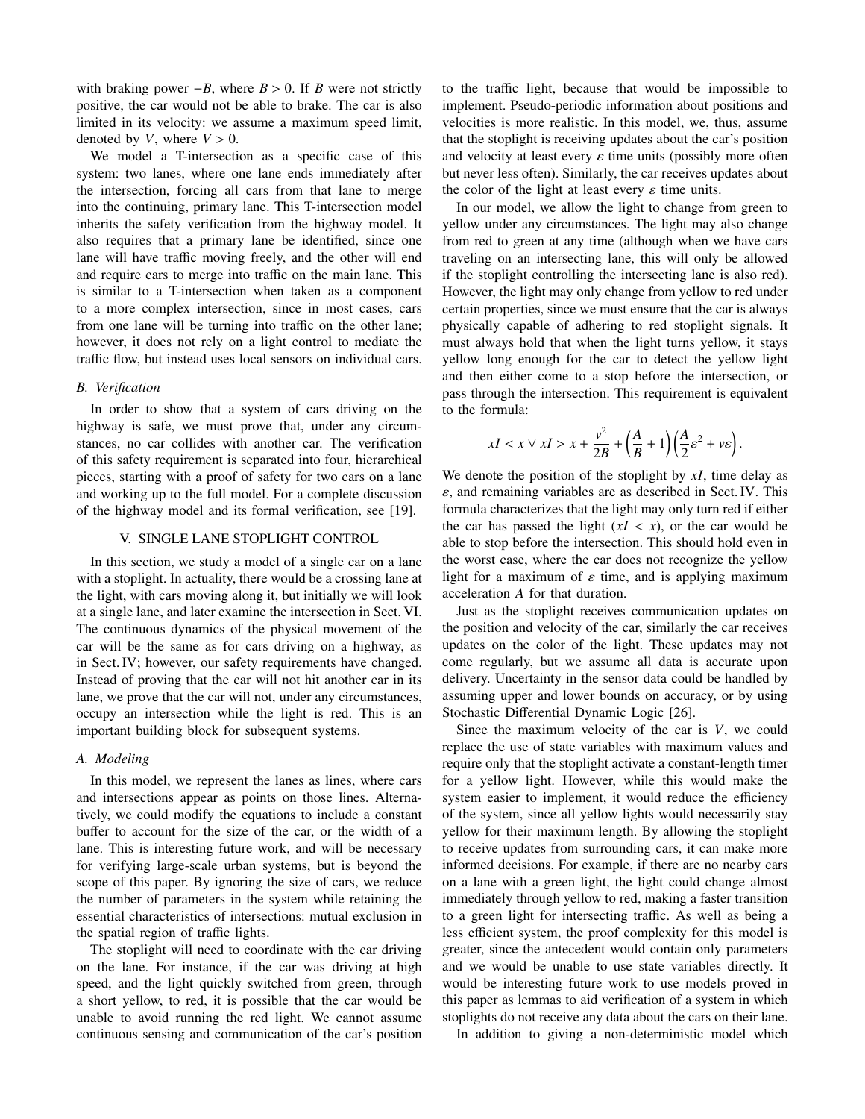with braking power  $-B$ , where  $B > 0$ . If *B* were not strictly positive, the car would not be able to brake. The car is also limited in its velocity: we assume a maximum speed limit, denoted by *V*, where  $V > 0$ .

We model a T-intersection as a specific case of this system: two lanes, where one lane ends immediately after the intersection, forcing all cars from that lane to merge into the continuing, primary lane. This T-intersection model inherits the safety verification from the highway model. It also requires that a primary lane be identified, since one lane will have traffic moving freely, and the other will end and require cars to merge into traffic on the main lane. This is similar to a T-intersection when taken as a component to a more complex intersection, since in most cases, cars from one lane will be turning into traffic on the other lane; however, it does not rely on a light control to mediate the traffic flow, but instead uses local sensors on individual cars.

# *B. Verification*

In order to show that a system of cars driving on the highway is safe, we must prove that, under any circumstances, no car collides with another car. The verification of this safety requirement is separated into four, hierarchical pieces, starting with a proof of safety for two cars on a lane and working up to the full model. For a complete discussion of the highway model and its formal verification, see [19].

# V. SINGLE LANE STOPLIGHT CONTROL

In this section, we study a model of a single car on a lane with a stoplight. In actuality, there would be a crossing lane at the light, with cars moving along it, but initially we will look at a single lane, and later examine the intersection in Sect. VI. The continuous dynamics of the physical movement of the car will be the same as for cars driving on a highway, as in Sect. IV; however, our safety requirements have changed. Instead of proving that the car will not hit another car in its lane, we prove that the car will not, under any circumstances, occupy an intersection while the light is red. This is an important building block for subsequent systems.

## *A. Modeling*

In this model, we represent the lanes as lines, where cars and intersections appear as points on those lines. Alternatively, we could modify the equations to include a constant buffer to account for the size of the car, or the width of a lane. This is interesting future work, and will be necessary for verifying large-scale urban systems, but is beyond the scope of this paper. By ignoring the size of cars, we reduce the number of parameters in the system while retaining the essential characteristics of intersections: mutual exclusion in the spatial region of traffic lights.

The stoplight will need to coordinate with the car driving on the lane. For instance, if the car was driving at high speed, and the light quickly switched from green, through a short yellow, to red, it is possible that the car would be unable to avoid running the red light. We cannot assume continuous sensing and communication of the car's position

to the traffic light, because that would be impossible to implement. Pseudo-periodic information about positions and velocities is more realistic. In this model, we, thus, assume that the stoplight is receiving updates about the car's position and velocity at least every  $\varepsilon$  time units (possibly more often but never less often). Similarly, the car receives updates about the color of the light at least every  $\varepsilon$  time units.

In our model, we allow the light to change from green to yellow under any circumstances. The light may also change from red to green at any time (although when we have cars traveling on an intersecting lane, this will only be allowed if the stoplight controlling the intersecting lane is also red). However, the light may only change from yellow to red under certain properties, since we must ensure that the car is always physically capable of adhering to red stoplight signals. It must always hold that when the light turns yellow, it stays yellow long enough for the car to detect the yellow light and then either come to a stop before the intersection, or pass through the intersection. This requirement is equivalent to the formula:

$$
xI < x \lor xI > x + \frac{v^2}{2B} + \left(\frac{A}{B} + 1\right)\left(\frac{A}{2}\varepsilon^2 + v\varepsilon\right).
$$

We denote the position of the stoplight by *xI*, time delay as  $\varepsilon$ , and remaining variables are as described in Sect. IV. This formula characterizes that the light may only turn red if either the car has passed the light  $(xI < x)$ , or the car would be able to stop before the intersection. This should hold even in the worst case, where the car does not recognize the yellow light for a maximum of  $\varepsilon$  time, and is applying maximum acceleration *A* for that duration.

Just as the stoplight receives communication updates on the position and velocity of the car, similarly the car receives updates on the color of the light. These updates may not come regularly, but we assume all data is accurate upon delivery. Uncertainty in the sensor data could be handled by assuming upper and lower bounds on accuracy, or by using Stochastic Differential Dynamic Logic [26].

Since the maximum velocity of the car is *V*, we could replace the use of state variables with maximum values and require only that the stoplight activate a constant-length timer for a yellow light. However, while this would make the system easier to implement, it would reduce the efficiency of the system, since all yellow lights would necessarily stay yellow for their maximum length. By allowing the stoplight to receive updates from surrounding cars, it can make more informed decisions. For example, if there are no nearby cars on a lane with a green light, the light could change almost immediately through yellow to red, making a faster transition to a green light for intersecting traffic. As well as being a less efficient system, the proof complexity for this model is greater, since the antecedent would contain only parameters and we would be unable to use state variables directly. It would be interesting future work to use models proved in this paper as lemmas to aid verification of a system in which stoplights do not receive any data about the cars on their lane.

In addition to giving a non-deterministic model which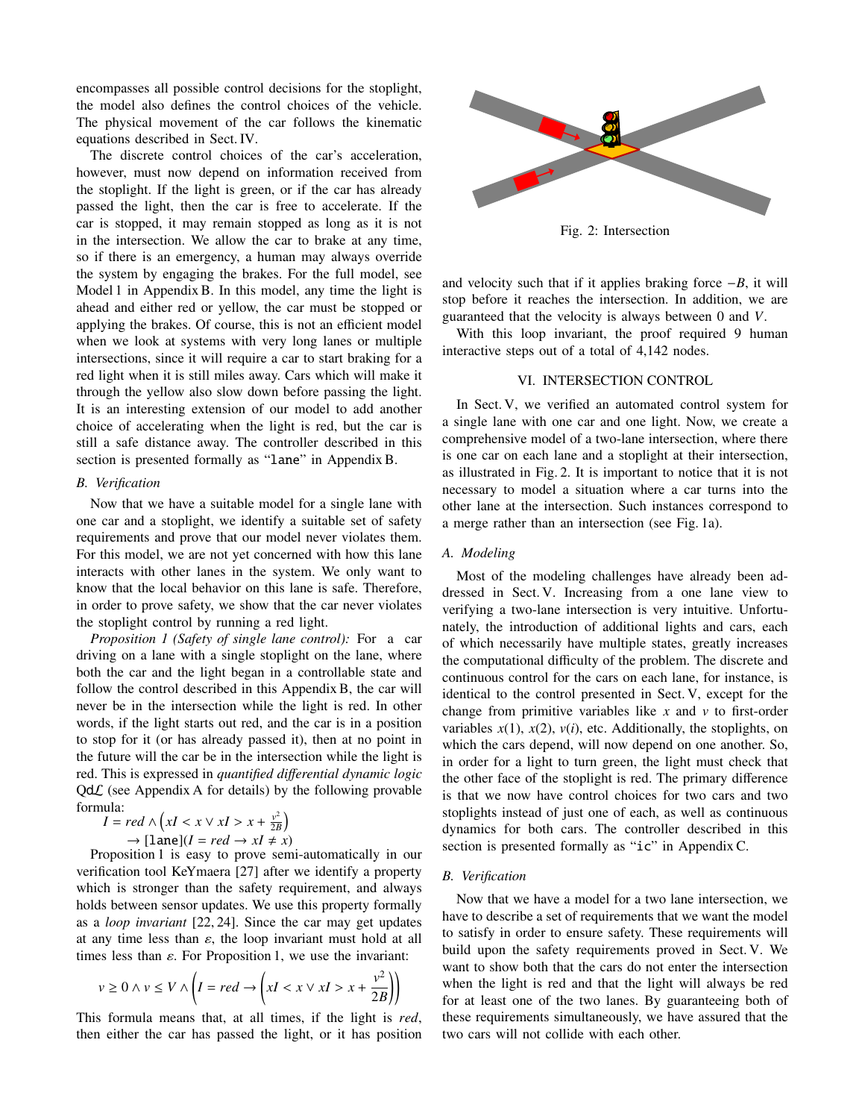encompasses all possible control decisions for the stoplight, the model also defines the control choices of the vehicle. The physical movement of the car follows the kinematic equations described in Sect. IV.

The discrete control choices of the car's acceleration, however, must now depend on information received from the stoplight. If the light is green, or if the car has already passed the light, then the car is free to accelerate. If the car is stopped, it may remain stopped as long as it is not in the intersection. We allow the car to brake at any time, so if there is an emergency, a human may always override the system by engaging the brakes. For the full model, see Model 1 in Appendix B. In this model, any time the light is ahead and either red or yellow, the car must be stopped or applying the brakes. Of course, this is not an efficient model when we look at systems with very long lanes or multiple intersections, since it will require a car to start braking for a red light when it is still miles away. Cars which will make it through the yellow also slow down before passing the light. It is an interesting extension of our model to add another choice of accelerating when the light is red, but the car is still a safe distance away. The controller described in this section is presented formally as "lane" in Appendix B.

### *B. Verification*

Now that we have a suitable model for a single lane with one car and a stoplight, we identify a suitable set of safety requirements and prove that our model never violates them. For this model, we are not yet concerned with how this lane interacts with other lanes in the system. We only want to know that the local behavior on this lane is safe. Therefore, in order to prove safety, we show that the car never violates the stoplight control by running a red light.

*Proposition 1 (Safety of single lane control):* For a car driving on a lane with a single stoplight on the lane, where both the car and the light began in a controllable state and follow the control described in this Appendix B, the car will never be in the intersection while the light is red. In other words, if the light starts out red, and the car is in a position to stop for it (or has already passed it), then at no point in the future will the car be in the intersection while the light is red. This is expressed in *quantified differential dynamic logic*  $QdL$  (see Appendix A for details) by the following provable formula:

$$
I = red \land \left(xI < x \lor xI > x + \frac{v^2}{2B}\right)
$$
\n
$$
\rightarrow \text{[lane]}(I = red \rightarrow xI \neq x)
$$

 $\rightarrow$  [lane](*I* = *red*  $\rightarrow$  *xI*  $\neq$  *x*)<br>Proposition 1 is easy to prove semi-automatically in our verification tool KeYmaera [27] after we identify a property which is stronger than the safety requirement, and always holds between sensor updates. We use this property formally as a *loop invariant* [22, 24]. Since the car may get updates at any time less than  $\varepsilon$ , the loop invariant must hold at all times less than  $\varepsilon$ . For Proposition 1, we use the invariant:

$$
v \ge 0 \land v \le V \land \left(I = red \rightarrow \left(xI < x \lor xI > x + \frac{v^2}{2B}\right)\right)
$$

This formula means that, at all times, if the light is *red*, then either the car has passed the light, or it has position



Fig. 2: Intersection

and velocity such that if it applies braking force  $-B$ , it will stop before it reaches the intersection. In addition, we are guaranteed that the velocity is always between 0 and *V*.

With this loop invariant, the proof required 9 human interactive steps out of a total of 4,142 nodes.

# VI. INTERSECTION CONTROL

In Sect. V, we verified an automated control system for a single lane with one car and one light. Now, we create a comprehensive model of a two-lane intersection, where there is one car on each lane and a stoplight at their intersection, as illustrated in Fig. 2. It is important to notice that it is not necessary to model a situation where a car turns into the other lane at the intersection. Such instances correspond to a merge rather than an intersection (see Fig. 1a).

# *A. Modeling*

Most of the modeling challenges have already been addressed in Sect. V. Increasing from a one lane view to verifying a two-lane intersection is very intuitive. Unfortunately, the introduction of additional lights and cars, each of which necessarily have multiple states, greatly increases the computational difficulty of the problem. The discrete and continuous control for the cars on each lane, for instance, is identical to the control presented in Sect. V, except for the change from primitive variables like *x* and *v* to first-order variables  $x(1)$ ,  $x(2)$ ,  $v(i)$ , etc. Additionally, the stoplights, on which the cars depend, will now depend on one another. So, in order for a light to turn green, the light must check that the other face of the stoplight is red. The primary difference is that we now have control choices for two cars and two stoplights instead of just one of each, as well as continuous dynamics for both cars. The controller described in this section is presented formally as "ic" in Appendix C.

# *B. Verification*

Now that we have a model for a two lane intersection, we have to describe a set of requirements that we want the model to satisfy in order to ensure safety. These requirements will build upon the safety requirements proved in Sect. V. We want to show both that the cars do not enter the intersection when the light is red and that the light will always be red for at least one of the two lanes. By guaranteeing both of these requirements simultaneously, we have assured that the two cars will not collide with each other.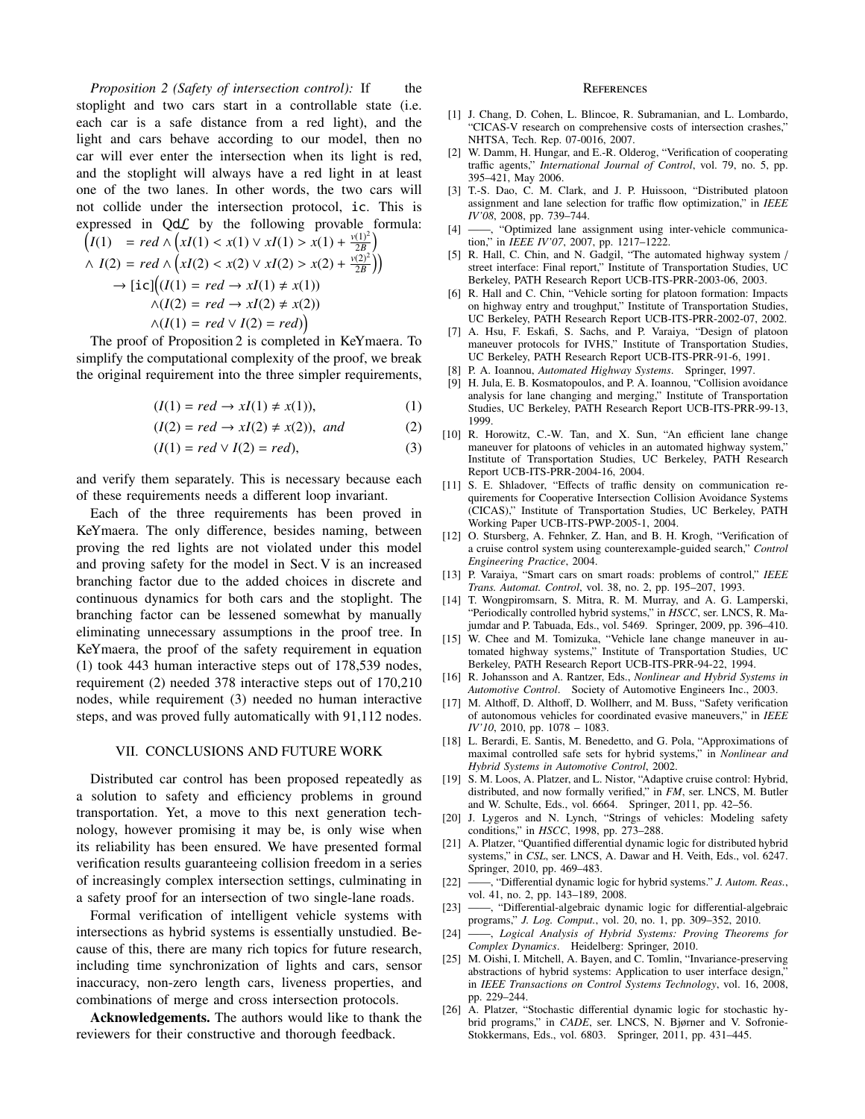*Proposition 2 (Safety of intersection control):* If the stoplight and two cars start in a controllable state (i.e. each car is a safe distance from a red light), and the light and cars behave according to our model, then no car will ever enter the intersection when its light is red, and the stoplight will always have a red light in at least one of the two lanes. In other words, the two cars will not collide under the intersection protocol, ic. This is expressed in QdL by the following provable formula:  $\left(I(1) = red \wedge \left(xI(1) < x(1) \vee xI(1) > x(1) + \frac{v(1)^2}{2B}\right)\right)$ 

$$
I(1) = \text{red} \land (xI(1) < x(1) \lor xI(1) > x(1) + \frac{2B}{2B})
$$
\n
$$
\land I(2) = \text{red} \land (xI(2) < x(2) \lor xI(2) > x(2) + \frac{v(2)^2}{2B})
$$
\n
$$
\rightarrow [\text{ic}][(I(1) = \text{red} \rightarrow xI(1) \neq x(1))
$$
\n
$$
\land (I(2) = \text{red} \rightarrow xI(2) \neq x(2))
$$
\n
$$
\land (I(1) = \text{red} \lor I(2) = \text{red})
$$

The proof of Proposition 2 is completed in KeYmaera. To simplify the computational complexity of the proof, we break the original requirement into the three simpler requirements,

$$
(I(1) = red \rightarrow xI(1) \neq x(1)), \tag{1}
$$

$$
(I(2) = red \rightarrow xI(2) \neq x(2)), \text{ and } (2)
$$

$$
(I(1) = red \vee I(2) = red), \tag{3}
$$

and verify them separately. This is necessary because each of these requirements needs a different loop invariant.

Each of the three requirements has been proved in KeYmaera. The only difference, besides naming, between proving the red lights are not violated under this model and proving safety for the model in Sect. V is an increased branching factor due to the added choices in discrete and continuous dynamics for both cars and the stoplight. The branching factor can be lessened somewhat by manually eliminating unnecessary assumptions in the proof tree. In KeYmaera, the proof of the safety requirement in equation (1) took 443 human interactive steps out of 178,539 nodes, requirement (2) needed 378 interactive steps out of 170,210 nodes, while requirement (3) needed no human interactive steps, and was proved fully automatically with 91,112 nodes.

### VII. CONCLUSIONS AND FUTURE WORK

Distributed car control has been proposed repeatedly as a solution to safety and efficiency problems in ground transportation. Yet, a move to this next generation technology, however promising it may be, is only wise when its reliability has been ensured. We have presented formal verification results guaranteeing collision freedom in a series of increasingly complex intersection settings, culminating in a safety proof for an intersection of two single-lane roads.

Formal verification of intelligent vehicle systems with intersections as hybrid systems is essentially unstudied. Because of this, there are many rich topics for future research, including time synchronization of lights and cars, sensor inaccuracy, non-zero length cars, liveness properties, and combinations of merge and cross intersection protocols.

Acknowledgements. The authors would like to thank the reviewers for their constructive and thorough feedback.

#### **REFERENCES**

- [1] J. Chang, D. Cohen, L. Blincoe, R. Subramanian, and L. Lombardo, "CICAS-V research on comprehensive costs of intersection crashes," NHTSA, Tech. Rep. 07-0016, 2007.
- [2] W. Damm, H. Hungar, and E.-R. Olderog, "Verification of cooperating traffic agents," *International Journal of Control*, vol. 79, no. 5, pp. 395–421, May 2006.
- [3] T.-S. Dao, C. M. Clark, and J. P. Huissoon, "Distributed platoon assignment and lane selection for traffic flow optimization," in *IEEE IV'08*, 2008, pp. 739–744.
- [4] ——, "Optimized lane assignment using inter-vehicle communication," in *IEEE IV'07*, 2007, pp. 1217–1222.
- [5] R. Hall, C. Chin, and N. Gadgil, "The automated highway system / street interface: Final report," Institute of Transportation Studies, UC Berkeley, PATH Research Report UCB-ITS-PRR-2003-06, 2003.
- [6] R. Hall and C. Chin, "Vehicle sorting for platoon formation: Impacts on highway entry and troughput," Institute of Transportation Studies, UC Berkeley, PATH Research Report UCB-ITS-PRR-2002-07, 2002.
- [7] A. Hsu, F. Eskafi, S. Sachs, and P. Varaiya, "Design of platoon maneuver protocols for IVHS," Institute of Transportation Studies, UC Berkeley, PATH Research Report UCB-ITS-PRR-91-6, 1991.
- [8] P. A. Ioannou, *Automated Highway Systems*. Springer, 1997.
- [9] H. Jula, E. B. Kosmatopoulos, and P. A. Ioannou, "Collision avoidance analysis for lane changing and merging," Institute of Transportation Studies, UC Berkeley, PATH Research Report UCB-ITS-PRR-99-13, 1999.
- [10] R. Horowitz, C.-W. Tan, and X. Sun, "An efficient lane change maneuver for platoons of vehicles in an automated highway system," Institute of Transportation Studies, UC Berkeley, PATH Research Report UCB-ITS-PRR-2004-16, 2004.
- [11] S. E. Shladover, "Effects of traffic density on communication requirements for Cooperative Intersection Collision Avoidance Systems (CICAS)," Institute of Transportation Studies, UC Berkeley, PATH Working Paper UCB-ITS-PWP-2005-1, 2004.
- [12] O. Stursberg, A. Fehnker, Z. Han, and B. H. Krogh, "Verification of a cruise control system using counterexample-guided search," *Control Engineering Practice*, 2004.
- [13] P. Varaiya, "Smart cars on smart roads: problems of control," *IEEE Trans. Automat. Control*, vol. 38, no. 2, pp. 195–207, 1993.
- [14] T. Wongpiromsarn, S. Mitra, R. M. Murray, and A. G. Lamperski, "Periodically controlled hybrid systems," in *HSCC*, ser. LNCS, R. Majumdar and P. Tabuada, Eds., vol. 5469. Springer, 2009, pp. 396–410.
- [15] W. Chee and M. Tomizuka, "Vehicle lane change maneuver in automated highway systems," Institute of Transportation Studies, UC Berkeley, PATH Research Report UCB-ITS-PRR-94-22, 1994.
- [16] R. Johansson and A. Rantzer, Eds., *Nonlinear and Hybrid Systems in Automotive Control*. Society of Automotive Engineers Inc., 2003.
- [17] M. Althoff, D. Althoff, D. Wollherr, and M. Buss, "Safety verification of autonomous vehicles for coordinated evasive maneuvers," in *IEEE IV'10*, 2010, pp. 1078 – 1083.
- [18] L. Berardi, E. Santis, M. Benedetto, and G. Pola, "Approximations of maximal controlled safe sets for hybrid systems," in *Nonlinear and Hybrid Systems in Automotive Control*, 2002.
- [19] S. M. Loos, A. Platzer, and L. Nistor, "Adaptive cruise control: Hybrid, distributed, and now formally verified," in *FM*, ser. LNCS, M. Butler and W. Schulte, Eds., vol. 6664. Springer, 2011, pp. 42–56.
- [20] J. Lygeros and N. Lynch, "Strings of vehicles: Modeling safety conditions," in *HSCC*, 1998, pp. 273–288.
- [21] A. Platzer, "Quantified differential dynamic logic for distributed hybrid systems," in *CSL*, ser. LNCS, A. Dawar and H. Veith, Eds., vol. 6247. Springer, 2010, pp. 469–483.
- [22] ——, "Differential dynamic logic for hybrid systems." *J. Autom. Reas.*, vol. 41, no. 2, pp. 143-189, 2008.<br>[23] —, "Differential-algebraic dvna
- -, "Differential-algebraic dynamic logic for differential-algebraic programs," *J. Log. Comput.*, vol. 20, no. 1, pp. 309–352, 2010.
- [24] ——, *Logical Analysis of Hybrid Systems: Proving Theorems for Complex Dynamics*. Heidelberg: Springer, 2010.
- [25] M. Oishi, I. Mitchell, A. Bayen, and C. Tomlin, "Invariance-preserving abstractions of hybrid systems: Application to user interface design, in *IEEE Transactions on Control Systems Technology*, vol. 16, 2008, pp. 229–244.
- [26] A. Platzer, "Stochastic differential dynamic logic for stochastic hybrid programs," in *CADE*, ser. LNCS, N. Bjørner and V. Sofronie-Stokkermans, Eds., vol. 6803. Springer, 2011, pp. 431–445.